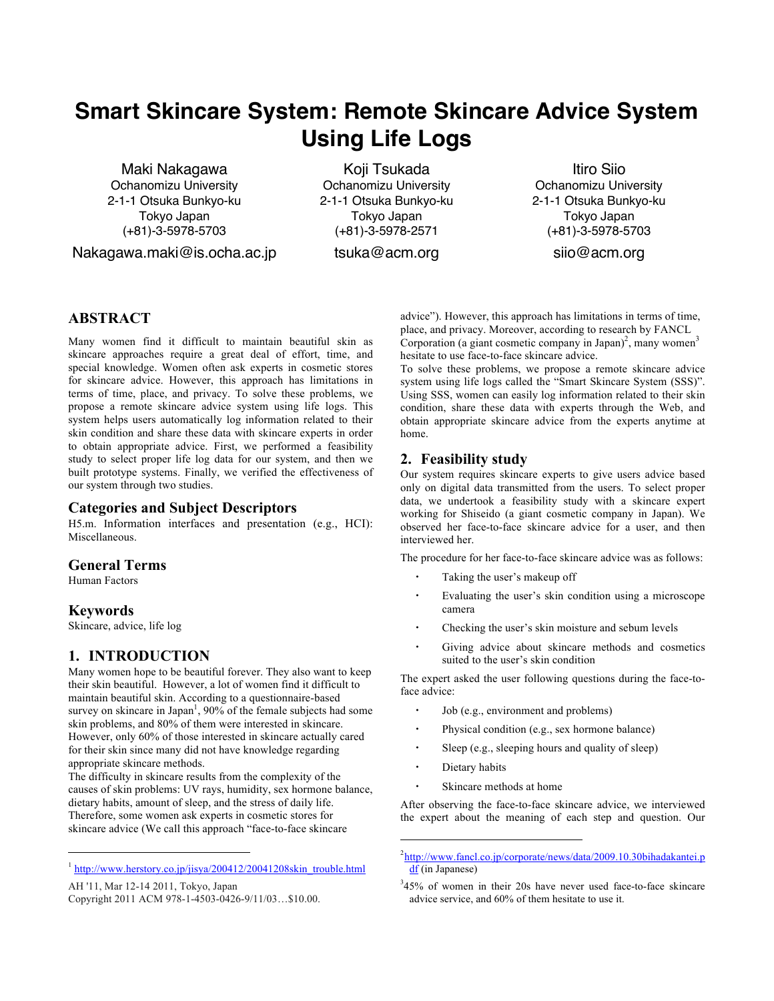# **Smart Skincare System: Remote Skincare Advice System Using Life Logs**

Maki Nakagawa Ochanomizu University 2-1-1 Otsuka Bunkyo-ku Tokyo Japan (+81)-3-5978-5703

Nakagawa.maki@is.ocha.ac.jp

Koji Tsukada Ochanomizu University 2-1-1 Otsuka Bunkyo-ku Tokyo Japan (+81)-3-5978-2571

tsuka@acm.org

Itiro Siio Ochanomizu University 2-1-1 Otsuka Bunkyo-ku Tokyo Japan (+81)-3-5978-5703

siio@acm.org

# **ABSTRACT**

Many women find it difficult to maintain beautiful skin as skincare approaches require a great deal of effort, time, and special knowledge. Women often ask experts in cosmetic stores for skincare advice. However, this approach has limitations in terms of time, place, and privacy. To solve these problems, we propose a remote skincare advice system using life logs. This system helps users automatically log information related to their skin condition and share these data with skincare experts in order to obtain appropriate advice. First, we performed a feasibility study to select proper life log data for our system, and then we built prototype systems. Finally, we verified the effectiveness of our system through two studies.

## **Categories and Subject Descriptors**

H5.m. Information interfaces and presentation (e.g., HCI): Miscellaneous.

## **General Terms**

Human Factors

#### **Keywords**

 $\overline{a}$ 

Skincare, advice, life log

### **1. INTRODUCTION**

Many women hope to be beautiful forever. They also want to keep their skin beautiful. However, a lot of women find it difficult to maintain beautiful skin. According to a questionnaire-based survey on skincare in Japan<sup>1</sup>, 90% of the female subjects had some skin problems, and 80% of them were interested in skincare. However, only 60% of those interested in skincare actually cared for their skin since many did not have knowledge regarding appropriate skincare methods.

The difficulty in skincare results from the complexity of the causes of skin problems: UV rays, humidity, sex hormone balance, dietary habits, amount of sleep, and the stress of daily life. Therefore, some women ask experts in cosmetic stores for skincare advice (We call this approach "face-to-face skincare

advice"). However, this approach has limitations in terms of time, place, and privacy. Moreover, according to research by FANCL Corporation (a giant cosmetic company in Japan)<sup>2</sup>, many women<sup>3</sup> hesitate to use face-to-face skincare advice.

To solve these problems, we propose a remote skincare advice system using life logs called the "Smart Skincare System (SSS)". Using SSS, women can easily log information related to their skin condition, share these data with experts through the Web, and obtain appropriate skincare advice from the experts anytime at home.

## **2. Feasibility study**

Our system requires skincare experts to give users advice based only on digital data transmitted from the users. To select proper data, we undertook a feasibility study with a skincare expert working for Shiseido (a giant cosmetic company in Japan). We observed her face-to-face skincare advice for a user, and then interviewed her.

The procedure for her face-to-face skincare advice was as follows:

- Taking the user's makeup off
- ・ Evaluating the user's skin condition using a microscope camera
- ・ Checking the user's skin moisture and sebum levels
- Giving advice about skincare methods and cosmetics suited to the user's skin condition

The expert asked the user following questions during the face-toface advice:

- ・ Job (e.g., environment and problems)
- Physical condition (e.g., sex hormone balance)
- Sleep (e.g., sleeping hours and quality of sleep)
- Dietary habits

 $\overline{a}$ 

Skincare methods at home

After observing the face-to-face skincare advice, we interviewed the expert about the meaning of each step and question. Our

<sup>&</sup>lt;sup>1</sup> http://www.herstory.co.jp/jisya/200412/20041208skin\_trouble.html

AH '11, Mar 12-14 2011, Tokyo, Japan Copyright 2011 ACM 978-1-4503-0426-9/11/03…\$10.00.

<sup>&</sup>lt;sup>2</sup>http://www.fancl.co.jp/corporate/news/data/2009.10.30bihadakantei.p  $df$  (in Japanese)

<sup>3</sup> 45% of women in their 20s have never used face-to-face skincare advice service, and 60% of them hesitate to use it.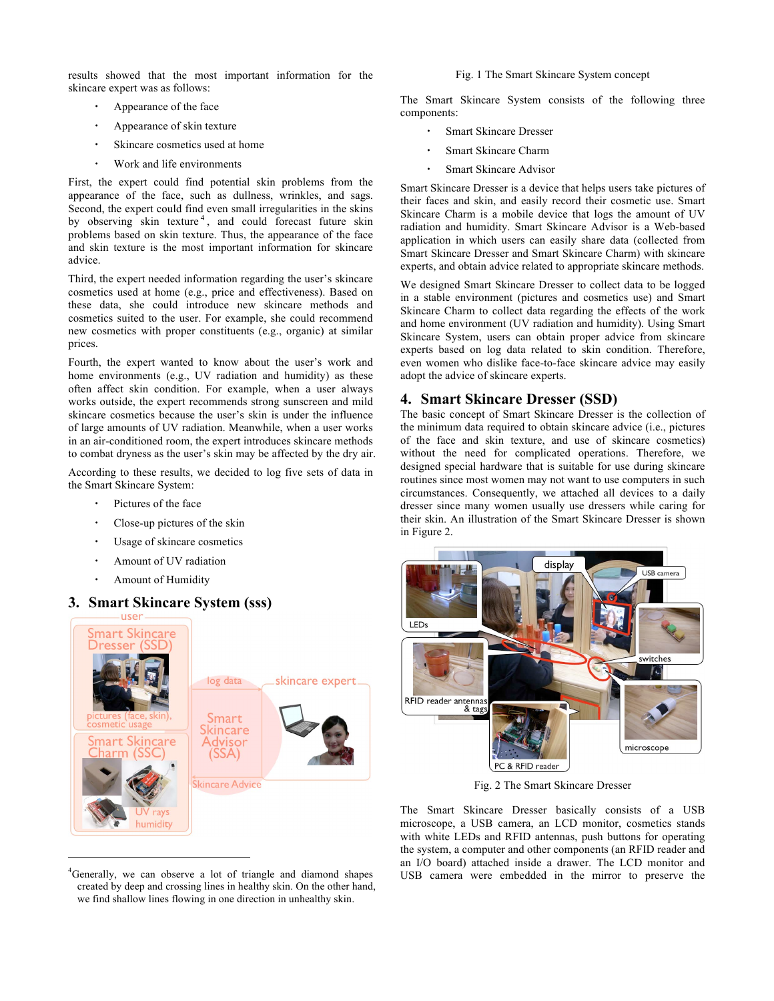results showed that the most important information for the skincare expert was as follows:

- Appearance of the face
- Appearance of skin texture
- Skincare cosmetics used at home
- ・ Work and life environments

First, the expert could find potential skin problems from the appearance of the face, such as dullness, wrinkles, and sags. Second, the expert could find even small irregularities in the skins by observing skin texture<sup>4</sup>, and could forecast future skin problems based on skin texture. Thus, the appearance of the face and skin texture is the most important information for skincare advice.

Third, the expert needed information regarding the user's skincare cosmetics used at home (e.g., price and effectiveness). Based on these data, she could introduce new skincare methods and cosmetics suited to the user. For example, she could recommend new cosmetics with proper constituents (e.g., organic) at similar prices.

Fourth, the expert wanted to know about the user's work and home environments (e.g., UV radiation and humidity) as these often affect skin condition. For example, when a user always works outside, the expert recommends strong sunscreen and mild skincare cosmetics because the user's skin is under the influence of large amounts of UV radiation. Meanwhile, when a user works in an air-conditioned room, the expert introduces skincare methods to combat dryness as the user's skin may be affected by the dry air.

According to these results, we decided to log five sets of data in the Smart Skincare System:

- Pictures of the face
- ・ Close-up pictures of the skin
- ・ Usage of skincare cosmetics
- Amount of UV radiation
- ・ Amount of Humidity

1

# **3. Smart Skincare System (sss)**



Fig. 1 The Smart Skincare System concept

The Smart Skincare System consists of the following three components:

- **Smart Skincare Dresser**
- **Smart Skincare Charm**
- **Smart Skincare Advisor**

Smart Skincare Dresser is a device that helps users take pictures of their faces and skin, and easily record their cosmetic use. Smart Skincare Charm is a mobile device that logs the amount of UV radiation and humidity. Smart Skincare Advisor is a Web-based application in which users can easily share data (collected from Smart Skincare Dresser and Smart Skincare Charm) with skincare experts, and obtain advice related to appropriate skincare methods.

We designed Smart Skincare Dresser to collect data to be logged in a stable environment (pictures and cosmetics use) and Smart Skincare Charm to collect data regarding the effects of the work and home environment (UV radiation and humidity). Using Smart Skincare System, users can obtain proper advice from skincare experts based on log data related to skin condition. Therefore, even women who dislike face-to-face skincare advice may easily adopt the advice of skincare experts.

## **4. Smart Skincare Dresser (SSD)**

The basic concept of Smart Skincare Dresser is the collection of the minimum data required to obtain skincare advice (i.e., pictures of the face and skin texture, and use of skincare cosmetics) without the need for complicated operations. Therefore, we designed special hardware that is suitable for use during skincare routines since most women may not want to use computers in such circumstances. Consequently, we attached all devices to a daily dresser since many women usually use dressers while caring for their skin. An illustration of the Smart Skincare Dresser is shown in Figure 2.



Fig. 2 The Smart Skincare Dresser

The Smart Skincare Dresser basically consists of a USB microscope, a USB camera, an LCD monitor, cosmetics stands with white LEDs and RFID antennas, push buttons for operating the system, a computer and other components (an RFID reader and an I/O board) attached inside a drawer. The LCD monitor and USB camera were embedded in the mirror to preserve the

<sup>&</sup>lt;sup>4</sup>Generally, we can observe a lot of triangle and diamond shapes created by deep and crossing lines in healthy skin. On the other hand, we find shallow lines flowing in one direction in unhealthy skin.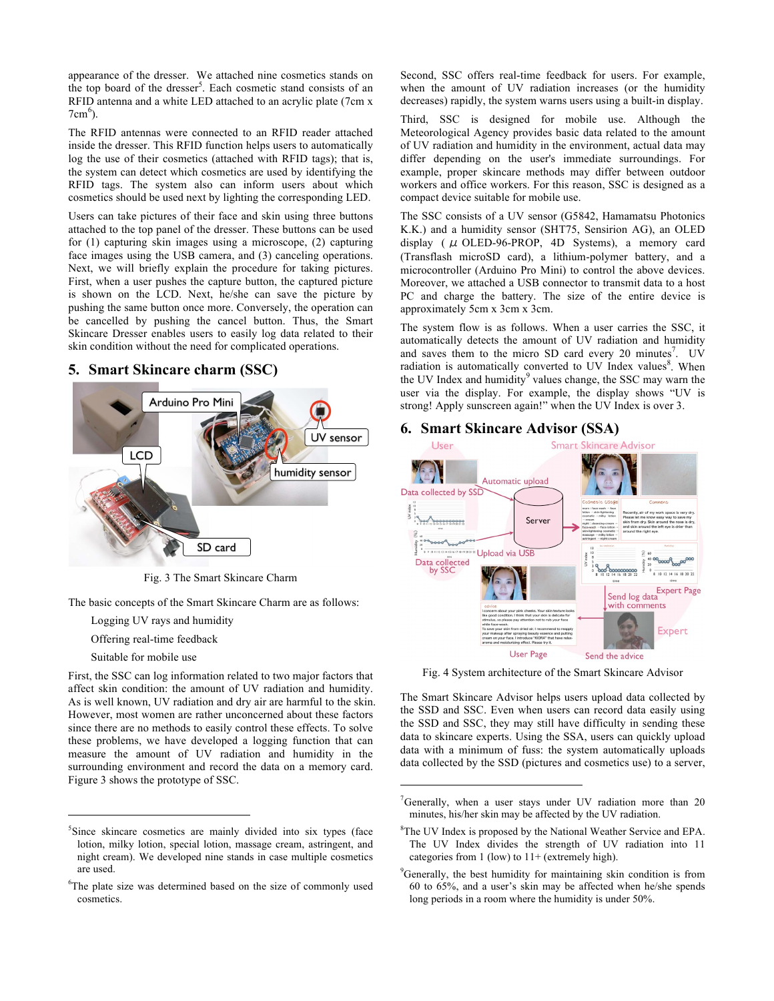appearance of the dresser. We attached nine cosmetics stands on the top board of the dresser<sup>5</sup>. Each cosmetic stand consists of an RFID antenna and a white LED attached to an acrylic plate (7cm x  $7 \text{cm}^6$ ).

The RFID antennas were connected to an RFID reader attached inside the dresser. This RFID function helps users to automatically log the use of their cosmetics (attached with RFID tags); that is, the system can detect which cosmetics are used by identifying the RFID tags. The system also can inform users about which cosmetics should be used next by lighting the corresponding LED.

Users can take pictures of their face and skin using three buttons attached to the top panel of the dresser. These buttons can be used for (1) capturing skin images using a microscope, (2) capturing face images using the USB camera, and (3) canceling operations. Next, we will briefly explain the procedure for taking pictures. First, when a user pushes the capture button, the captured picture is shown on the LCD. Next, he/she can save the picture by pushing the same button once more. Conversely, the operation can be cancelled by pushing the cancel button. Thus, the Smart Skincare Dresser enables users to easily log data related to their skin condition without the need for complicated operations.

## **5. Smart Skincare charm (SSC)**



Fig. 3 The Smart Skincare Charm

The basic concepts of the Smart Skincare Charm are as follows:

Logging UV rays and humidity

Offering real-time feedback

Suitable for mobile use

-

First, the SSC can log information related to two major factors that affect skin condition: the amount of UV radiation and humidity. As is well known, UV radiation and dry air are harmful to the skin. However, most women are rather unconcerned about these factors since there are no methods to easily control these effects. To solve these problems, we have developed a logging function that can measure the amount of UV radiation and humidity in the surrounding environment and record the data on a memory card. Figure 3 shows the prototype of SSC.

Second, SSC offers real-time feedback for users. For example, when the amount of UV radiation increases (or the humidity decreases) rapidly, the system warns users using a built-in display.

Third, SSC is designed for mobile use. Although the Meteorological Agency provides basic data related to the amount of UV radiation and humidity in the environment, actual data may differ depending on the user's immediate surroundings. For example, proper skincare methods may differ between outdoor workers and office workers. For this reason, SSC is designed as a compact device suitable for mobile use.

The SSC consists of a UV sensor (G5842, Hamamatsu Photonics K.K.) and a humidity sensor (SHT75, Sensirion AG), an OLED display ( $\mu$  OLED-96-PROP, 4D Systems), a memory card (Transflash microSD card), a lithium-polymer battery, and a microcontroller (Arduino Pro Mini) to control the above devices. Moreover, we attached a USB connector to transmit data to a host PC and charge the battery. The size of the entire device is approximately 5cm x 3cm x 3cm.

The system flow is as follows. When a user carries the SSC, it automatically detects the amount of UV radiation and humidity and saves them to the micro SD card every 20 minutes<sup>7</sup>. UV radiation is automatically converted to UV Index values<sup>8</sup>. When the UV Index and humidity<sup>9</sup> values change, the SSC may warn the user via the display. For example, the display shows "UV is strong! Apply sunscreen again!" when the UV Index is over 3.

## **6. Smart Skincare Advisor (SSA)**



Fig. 4 System architecture of the Smart Skincare Advisor

The Smart Skincare Advisor helps users upload data collected by the SSD and SSC. Even when users can record data easily using the SSD and SSC, they may still have difficulty in sending these data to skincare experts. Using the SSA, users can quickly upload data with a minimum of fuss: the system automatically uploads data collected by the SSD (pictures and cosmetics use) to a server,

 $\overline{a}$ 

<sup>&</sup>lt;sup>5</sup>Since skincare cosmetics are mainly divided into six types (face lotion, milky lotion, special lotion, massage cream, astringent, and night cream). We developed nine stands in case multiple cosmetics are used.

<sup>&</sup>lt;sup>6</sup>The plate size was determined based on the size of commonly used cosmetics.

<sup>&</sup>lt;sup>7</sup>Generally, when a user stays under UV radiation more than 20 minutes, his/her skin may be affected by the UV radiation.

<sup>&</sup>lt;sup>8</sup>The UV Index is proposed by the National Weather Service and EPA. The UV Index divides the strength of UV radiation into 11 categories from 1 (low) to  $11+$  (extremely high).

<sup>&</sup>lt;sup>9</sup>Generally, the best humidity for maintaining skin condition is from 60 to 65%, and a user's skin may be affected when he/she spends long periods in a room where the humidity is under 50%.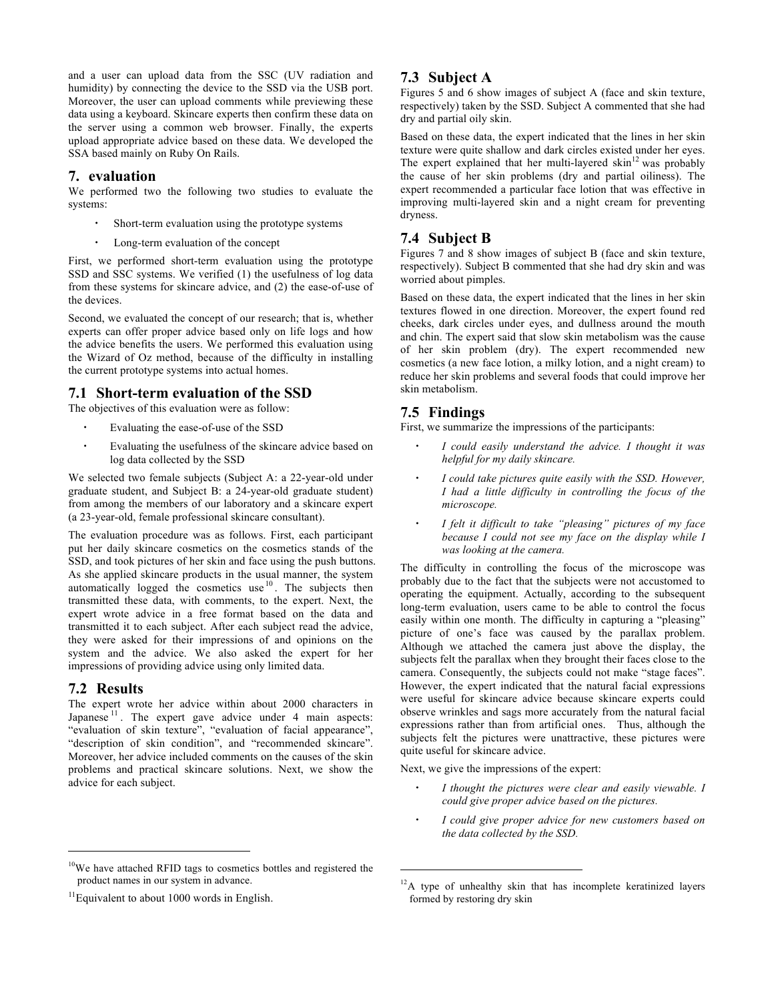and a user can upload data from the SSC (UV radiation and humidity) by connecting the device to the SSD via the USB port. Moreover, the user can upload comments while previewing these data using a keyboard. Skincare experts then confirm these data on the server using a common web browser. Finally, the experts upload appropriate advice based on these data. We developed the SSA based mainly on Ruby On Rails.

## **7. evaluation**

We performed two the following two studies to evaluate the systems:

- Short-term evaluation using the prototype systems
- ・ Long-term evaluation of the concept

First, we performed short-term evaluation using the prototype SSD and SSC systems. We verified (1) the usefulness of log data from these systems for skincare advice, and (2) the ease-of-use of the devices.

Second, we evaluated the concept of our research; that is, whether experts can offer proper advice based only on life logs and how the advice benefits the users. We performed this evaluation using the Wizard of Oz method, because of the difficulty in installing the current prototype systems into actual homes.

## **7.1 Short-term evaluation of the SSD**

The objectives of this evaluation were as follow:

- Evaluating the ease-of-use of the SSD
- Evaluating the usefulness of the skincare advice based on log data collected by the SSD

We selected two female subjects (Subject A: a 22-year-old under graduate student, and Subject B: a 24-year-old graduate student) from among the members of our laboratory and a skincare expert (a 23-year-old, female professional skincare consultant).

The evaluation procedure was as follows. First, each participant put her daily skincare cosmetics on the cosmetics stands of the SSD, and took pictures of her skin and face using the push buttons. As she applied skincare products in the usual manner, the system automatically logged the cosmetics use  $10$ . The subjects then transmitted these data, with comments, to the expert. Next, the expert wrote advice in a free format based on the data and transmitted it to each subject. After each subject read the advice, they were asked for their impressions of and opinions on the system and the advice. We also asked the expert for her impressions of providing advice using only limited data.

## **7.2 Results**

-

The expert wrote her advice within about 2000 characters in Japanese<sup>11</sup>. The expert gave advice under 4 main aspects: "evaluation of skin texture", "evaluation of facial appearance", "description of skin condition", and "recommended skincare". Moreover, her advice included comments on the causes of the skin problems and practical skincare solutions. Next, we show the advice for each subject.

## **7.3 Subject A**

Figures 5 and 6 show images of subject A (face and skin texture, respectively) taken by the SSD. Subject A commented that she had dry and partial oily skin.

Based on these data, the expert indicated that the lines in her skin texture were quite shallow and dark circles existed under her eyes. The expert explained that her multi-layered  $\sin^{12}$  was probably the cause of her skin problems (dry and partial oiliness). The expert recommended a particular face lotion that was effective in improving multi-layered skin and a night cream for preventing dryness.

## **7.4 Subject B**

Figures 7 and 8 show images of subject B (face and skin texture, respectively). Subject B commented that she had dry skin and was worried about pimples.

Based on these data, the expert indicated that the lines in her skin textures flowed in one direction. Moreover, the expert found red cheeks, dark circles under eyes, and dullness around the mouth and chin. The expert said that slow skin metabolism was the cause of her skin problem (dry). The expert recommended new cosmetics (a new face lotion, a milky lotion, and a night cream) to reduce her skin problems and several foods that could improve her skin metabolism.

# **7.5 Findings**

First, we summarize the impressions of the participants:

- I could easily understand the advice. I thought it was *helpful for my daily skincare.*
- ・ *I could take pictures quite easily with the SSD. However, I had a little difficulty in controlling the focus of the microscope.* 
	- ・ *I felt it difficult to take "pleasing" pictures of my face because I could not see my face on the display while I was looking at the camera.*

The difficulty in controlling the focus of the microscope was probably due to the fact that the subjects were not accustomed to operating the equipment. Actually, according to the subsequent long-term evaluation, users came to be able to control the focus easily within one month. The difficulty in capturing a "pleasing" picture of one's face was caused by the parallax problem. Although we attached the camera just above the display, the subjects felt the parallax when they brought their faces close to the camera. Consequently, the subjects could not make "stage faces". However, the expert indicated that the natural facial expressions were useful for skincare advice because skincare experts could observe wrinkles and sags more accurately from the natural facial expressions rather than from artificial ones. Thus, although the subjects felt the pictures were unattractive, these pictures were quite useful for skincare advice.

Next, we give the impressions of the expert:

 $\overline{a}$ 

- I thought the pictures were clear and easily viewable. I *could give proper advice based on the pictures.*
- I could give proper advice for new customers based on *the data collected by the SSD.*

 $10$ We have attached RFID tags to cosmetics bottles and registered the product names in our system in advance.

 $11$ Equivalent to about 1000 words in English.

 $12A$  type of unhealthy skin that has incomplete keratinized layers formed by restoring dry skin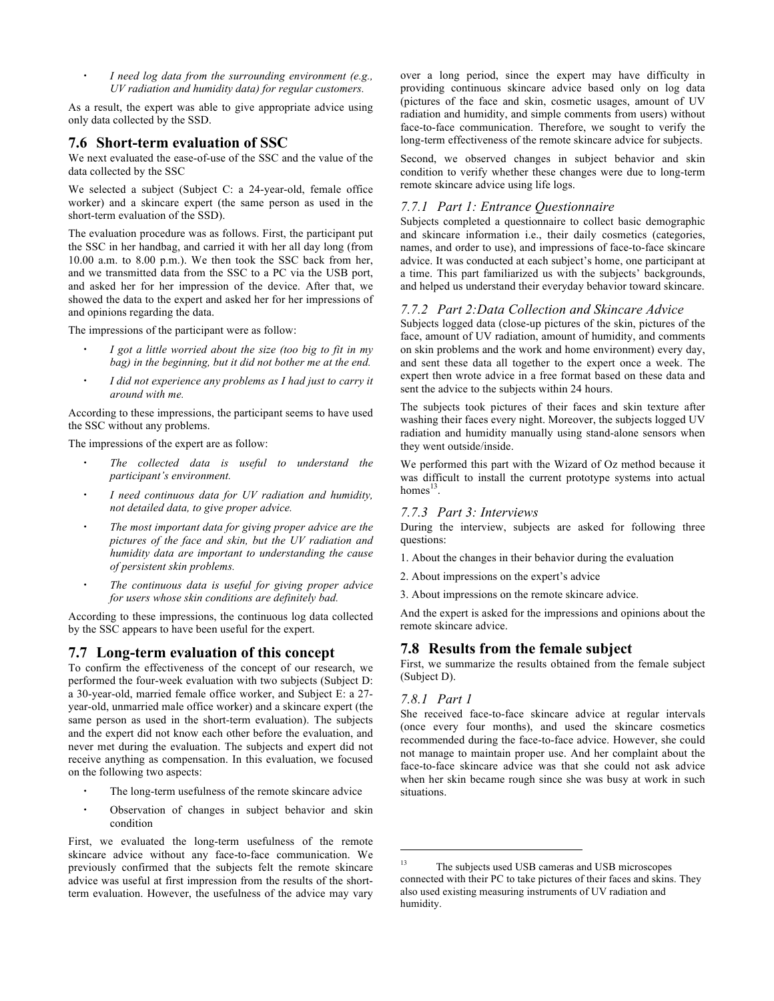・ *I need log data from the surrounding environment (e.g., UV radiation and humidity data) for regular customers.*

As a result, the expert was able to give appropriate advice using only data collected by the SSD.

## **7.6 Short-term evaluation of SSC**

We next evaluated the ease-of-use of the SSC and the value of the data collected by the SSC

We selected a subject (Subject C: a 24-year-old, female office worker) and a skincare expert (the same person as used in the short-term evaluation of the SSD).

The evaluation procedure was as follows. First, the participant put the SSC in her handbag, and carried it with her all day long (from 10.00 a.m. to 8.00 p.m.). We then took the SSC back from her, and we transmitted data from the SSC to a PC via the USB port, and asked her for her impression of the device. After that, we showed the data to the expert and asked her for her impressions of and opinions regarding the data.

The impressions of the participant were as follow:

- *I got a little worried about the size (too big to fit in my bag) in the beginning, but it did not bother me at the end.*
- I did not experience any problems as I had just to carry it *around with me.*

According to these impressions, the participant seems to have used the SSC without any problems.

The impressions of the expert are as follow:

- The collected data is useful to understand the *participant's environment.*
- ・ *I need continuous data for UV radiation and humidity, not detailed data, to give proper advice.*
- The most important data for giving proper advice are the *pictures of the face and skin, but the UV radiation and humidity data are important to understanding the cause of persistent skin problems.*
- The continuous data is useful for giving proper advice *for users whose skin conditions are definitely bad.*

According to these impressions, the continuous log data collected by the SSC appears to have been useful for the expert.

## **7.7 Long-term evaluation of this concept**

To confirm the effectiveness of the concept of our research, we performed the four-week evaluation with two subjects (Subject D: a 30-year-old, married female office worker, and Subject E: a 27 year-old, unmarried male office worker) and a skincare expert (the same person as used in the short-term evaluation). The subjects and the expert did not know each other before the evaluation, and never met during the evaluation. The subjects and expert did not receive anything as compensation. In this evaluation, we focused on the following two aspects:

- The long-term usefulness of the remote skincare advice
- ・ Observation of changes in subject behavior and skin condition

First, we evaluated the long-term usefulness of the remote skincare advice without any face-to-face communication. We previously confirmed that the subjects felt the remote skincare advice was useful at first impression from the results of the shortterm evaluation. However, the usefulness of the advice may vary over a long period, since the expert may have difficulty in providing continuous skincare advice based only on log data (pictures of the face and skin, cosmetic usages, amount of UV radiation and humidity, and simple comments from users) without face-to-face communication. Therefore, we sought to verify the long-term effectiveness of the remote skincare advice for subjects.

Second, we observed changes in subject behavior and skin condition to verify whether these changes were due to long-term remote skincare advice using life logs.

#### *7.7.1 Part 1: Entrance Questionnaire*

Subjects completed a questionnaire to collect basic demographic and skincare information i.e., their daily cosmetics (categories, names, and order to use), and impressions of face-to-face skincare advice. It was conducted at each subject's home, one participant at a time. This part familiarized us with the subjects' backgrounds, and helped us understand their everyday behavior toward skincare.

#### *7.7.2 Part 2:Data Collection and Skincare Advice*

Subjects logged data (close-up pictures of the skin, pictures of the face, amount of UV radiation, amount of humidity, and comments on skin problems and the work and home environment) every day, and sent these data all together to the expert once a week. The expert then wrote advice in a free format based on these data and sent the advice to the subjects within 24 hours.

The subjects took pictures of their faces and skin texture after washing their faces every night. Moreover, the subjects logged UV radiation and humidity manually using stand-alone sensors when they went outside/inside.

We performed this part with the Wizard of Oz method because it was difficult to install the current prototype systems into actual homes<sup>13</sup>.

#### *7.7.3 Part 3: Interviews*

During the interview, subjects are asked for following three questions:

- 1. About the changes in their behavior during the evaluation
- 2. About impressions on the expert's advice
- 3. About impressions on the remote skincare advice.

And the expert is asked for the impressions and opinions about the remote skincare advice.

## **7.8 Results from the female subject**

First, we summarize the results obtained from the female subject (Subject D).

#### *7.8.1 Part 1*

 $\overline{a}$ 

She received face-to-face skincare advice at regular intervals (once every four months), and used the skincare cosmetics recommended during the face-to-face advice. However, she could not manage to maintain proper use. And her complaint about the face-to-face skincare advice was that she could not ask advice when her skin became rough since she was busy at work in such situations.

<sup>13</sup> The subjects used USB cameras and USB microscopes connected with their PC to take pictures of their faces and skins. They also used existing measuring instruments of UV radiation and humidity.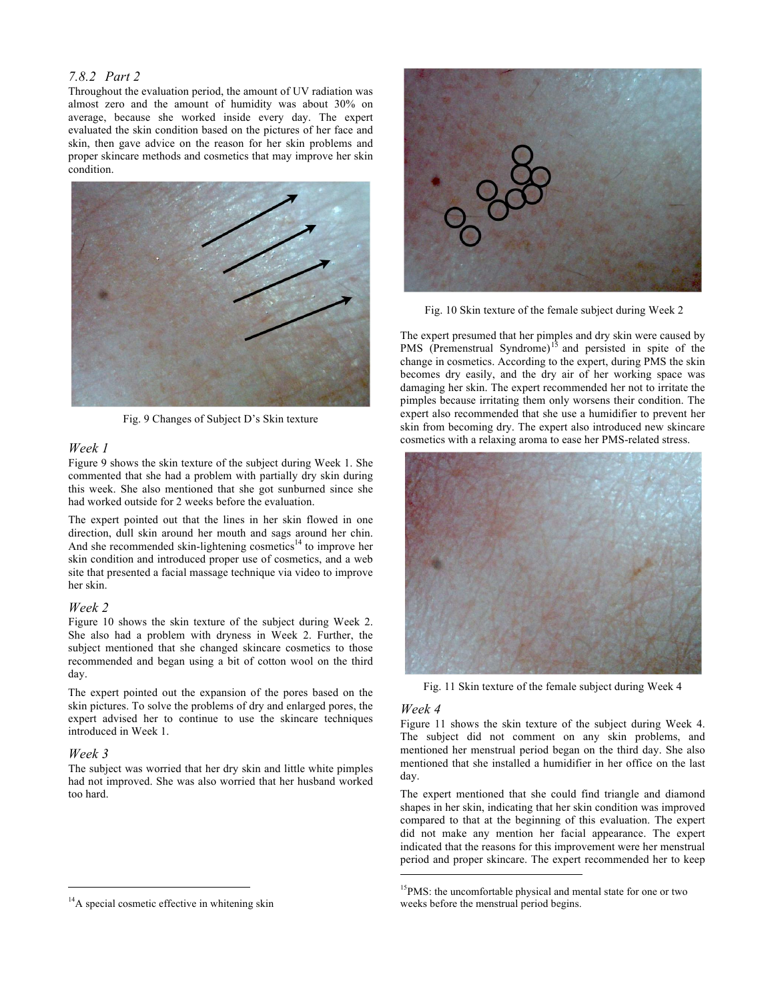#### *7.8.2 Part 2*

Throughout the evaluation period, the amount of UV radiation was almost zero and the amount of humidity was about 30% on average, because she worked inside every day. The expert evaluated the skin condition based on the pictures of her face and skin, then gave advice on the reason for her skin problems and proper skincare methods and cosmetics that may improve her skin condition.



Fig. 9 Changes of Subject D's Skin texture

#### *Week 1*

Figure 9 shows the skin texture of the subject during Week 1. She commented that she had a problem with partially dry skin during this week. She also mentioned that she got sunburned since she had worked outside for 2 weeks before the evaluation.

The expert pointed out that the lines in her skin flowed in one direction, dull skin around her mouth and sags around her chin. And she recommended skin-lightening cosmetics<sup>14</sup> to improve her skin condition and introduced proper use of cosmetics, and a web site that presented a facial massage technique via video to improve her skin.

#### *Week 2*

Figure 10 shows the skin texture of the subject during Week 2. She also had a problem with dryness in Week 2. Further, the subject mentioned that she changed skincare cosmetics to those recommended and began using a bit of cotton wool on the third day.

The expert pointed out the expansion of the pores based on the skin pictures. To solve the problems of dry and enlarged pores, the expert advised her to continue to use the skincare techniques introduced in Week 1.

#### *Week 3*

 $\overline{a}$ 

The subject was worried that her dry skin and little white pimples had not improved. She was also worried that her husband worked too hard.

Fig. 10 Skin texture of the female subject during Week 2

The expert presumed that her pimples and dry skin were caused by PMS (Premenstrual Syndrome)<sup>15</sup> and persisted in spite of the change in cosmetics. According to the expert, during PMS the skin becomes dry easily, and the dry air of her working space was damaging her skin. The expert recommended her not to irritate the pimples because irritating them only worsens their condition. The expert also recommended that she use a humidifier to prevent her skin from becoming dry. The expert also introduced new skincare cosmetics with a relaxing aroma to ease her PMS-related stress.



Fig. 11 Skin texture of the female subject during Week 4

#### *Week 4*

 $\overline{a}$ 

Figure 11 shows the skin texture of the subject during Week 4. The subject did not comment on any skin problems, and mentioned her menstrual period began on the third day. She also mentioned that she installed a humidifier in her office on the last day.

The expert mentioned that she could find triangle and diamond shapes in her skin, indicating that her skin condition was improved compared to that at the beginning of this evaluation. The expert did not make any mention her facial appearance. The expert indicated that the reasons for this improvement were her menstrual period and proper skincare. The expert recommended her to keep

<sup>&</sup>lt;sup>15</sup>PMS: the uncomfortable physical and mental state for one or two weeks before the menstrual period begins.

 $14$ A special cosmetic effective in whitening skin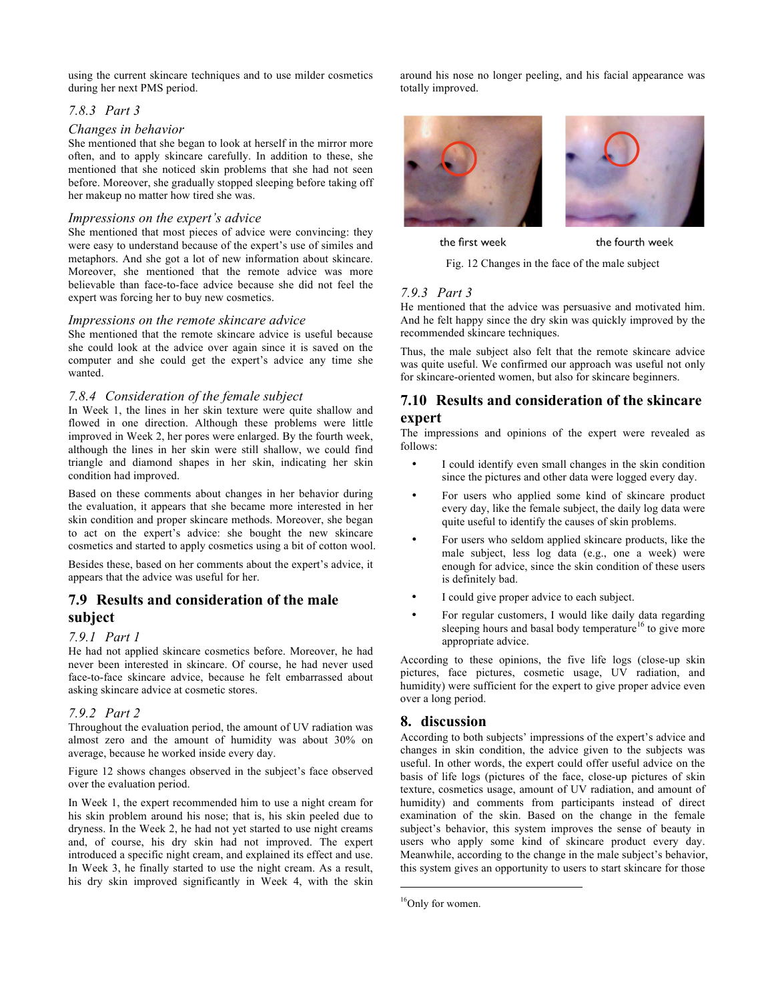using the current skincare techniques and to use milder cosmetics during her next PMS period.

## *7.8.3 Part 3*

#### *Changes in behavior*

She mentioned that she began to look at herself in the mirror more often, and to apply skincare carefully. In addition to these, she mentioned that she noticed skin problems that she had not seen before. Moreover, she gradually stopped sleeping before taking off her makeup no matter how tired she was.

#### *Impressions on the expert's advice*

She mentioned that most pieces of advice were convincing: they were easy to understand because of the expert's use of similes and metaphors. And she got a lot of new information about skincare. Moreover, she mentioned that the remote advice was more believable than face-to-face advice because she did not feel the expert was forcing her to buy new cosmetics.

#### *Impressions on the remote skincare advice*

She mentioned that the remote skincare advice is useful because she could look at the advice over again since it is saved on the computer and she could get the expert's advice any time she wanted.

#### *7.8.4 Consideration of the female subject*

In Week 1, the lines in her skin texture were quite shallow and flowed in one direction. Although these problems were little improved in Week 2, her pores were enlarged. By the fourth week, although the lines in her skin were still shallow, we could find triangle and diamond shapes in her skin, indicating her skin condition had improved.

Based on these comments about changes in her behavior during the evaluation, it appears that she became more interested in her skin condition and proper skincare methods. Moreover, she began to act on the expert's advice: she bought the new skincare cosmetics and started to apply cosmetics using a bit of cotton wool.

Besides these, based on her comments about the expert's advice, it appears that the advice was useful for her.

# **7.9 Results and consideration of the male subject**

#### *7.9.1 Part 1*

He had not applied skincare cosmetics before. Moreover, he had never been interested in skincare. Of course, he had never used face-to-face skincare advice, because he felt embarrassed about asking skincare advice at cosmetic stores.

#### *7.9.2 Part 2*

Throughout the evaluation period, the amount of UV radiation was almost zero and the amount of humidity was about 30% on average, because he worked inside every day.

Figure 12 shows changes observed in the subject's face observed over the evaluation period.

In Week 1, the expert recommended him to use a night cream for his skin problem around his nose; that is, his skin peeled due to dryness. In the Week 2, he had not yet started to use night creams and, of course, his dry skin had not improved. The expert introduced a specific night cream, and explained its effect and use. In Week 3, he finally started to use the night cream. As a result, his dry skin improved significantly in Week 4, with the skin around his nose no longer peeling, and his facial appearance was totally improved.





the first week

the fourth week

Fig. 12 Changes in the face of the male subject

#### *7.9.3 Part 3*

He mentioned that the advice was persuasive and motivated him. And he felt happy since the dry skin was quickly improved by the recommended skincare techniques.

Thus, the male subject also felt that the remote skincare advice was quite useful. We confirmed our approach was useful not only for skincare-oriented women, but also for skincare beginners.

# **7.10 Results and consideration of the skincare expert**

The impressions and opinions of the expert were revealed as follows:

- I could identify even small changes in the skin condition since the pictures and other data were logged every day.
- For users who applied some kind of skincare product every day, like the female subject, the daily log data were quite useful to identify the causes of skin problems.
- For users who seldom applied skincare products, like the male subject, less log data (e.g., one a week) were enough for advice, since the skin condition of these users is definitely bad.
- I could give proper advice to each subject.
- For regular customers, I would like daily data regarding sleeping hours and basal body temperature<sup>16</sup> to give more appropriate advice.

According to these opinions, the five life logs (close-up skin pictures, face pictures, cosmetic usage, UV radiation, and humidity) were sufficient for the expert to give proper advice even over a long period.

## **8. discussion**

According to both subjects' impressions of the expert's advice and changes in skin condition, the advice given to the subjects was useful. In other words, the expert could offer useful advice on the basis of life logs (pictures of the face, close-up pictures of skin texture, cosmetics usage, amount of UV radiation, and amount of humidity) and comments from participants instead of direct examination of the skin. Based on the change in the female subject's behavior, this system improves the sense of beauty in users who apply some kind of skincare product every day. Meanwhile, according to the change in the male subject's behavior, this system gives an opportunity to users to start skincare for those

j

<sup>&</sup>lt;sup>16</sup>Only for women.